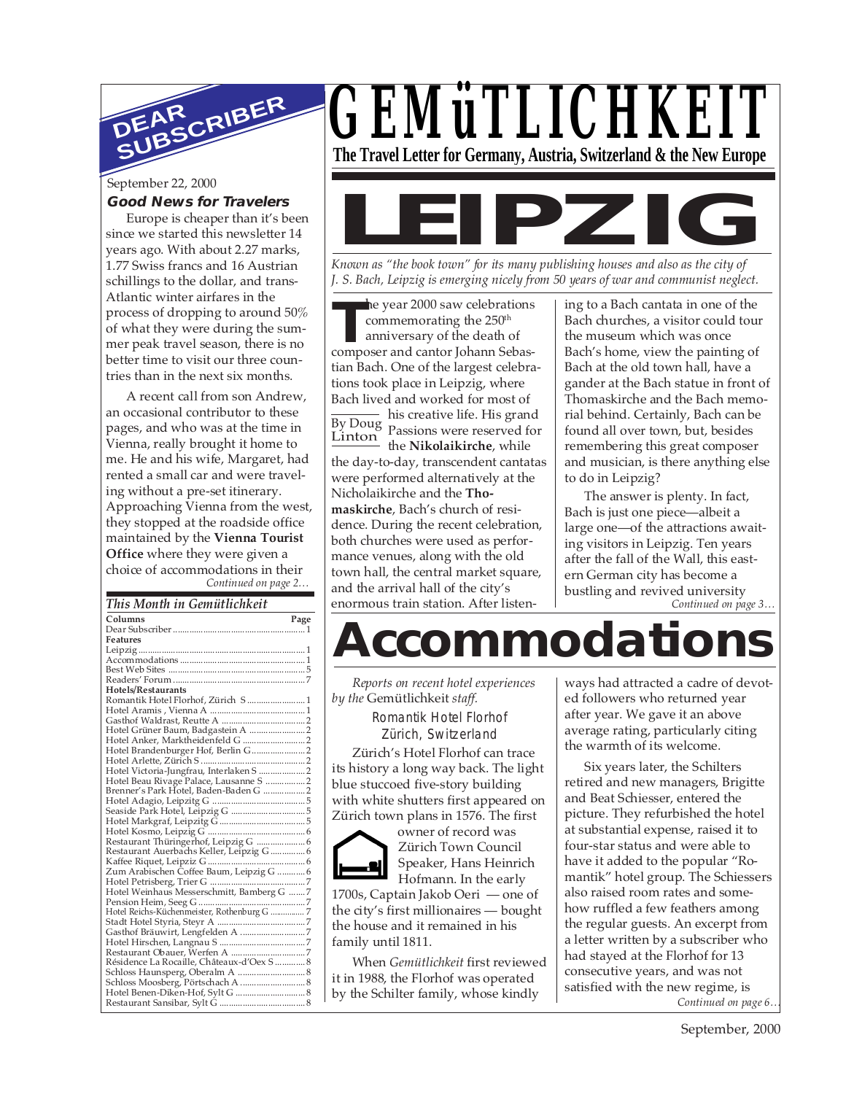

#### September 22, 2000

#### **Good News for Travelers**

Europe is cheaper than it's been since we started this newsletter 14 years ago. With about 2.27 marks, 1.77 Swiss francs and 16 Austrian schillings to the dollar, and trans-Atlantic winter airfares in the process of dropping to around 50% of what they were during the summer peak travel season, there is no better time to visit our three countries than in the next six months.

*Continued on page 2…* A recent call from son Andrew, an occasional contributor to these pages, and who was at the time in Vienna, really brought it home to me. He and his wife, Margaret, had rented a small car and were traveling without a pre-set itinerary. Approaching Vienna from the west, they stopped at the roadside office maintained by the **Vienna Tourist Office** where they were given a choice of accommodations in their

#### *This Month in Gemütlichkeit*

| Columns                                                             | Page |
|---------------------------------------------------------------------|------|
|                                                                     |      |
| <b>Features</b>                                                     |      |
|                                                                     |      |
|                                                                     |      |
|                                                                     |      |
|                                                                     |      |
| Hotels/Restaurants                                                  |      |
| Romantik Hotel Florhof, Zürich S  1                                 |      |
|                                                                     |      |
|                                                                     |      |
| Hotel Grüner Baum, Badgastein A  2                                  |      |
| Hotel Anker, Marktheidenfeld G<br>Hotel Brandenburger Hof, Berlin G |      |
|                                                                     |      |
|                                                                     |      |
|                                                                     |      |
| Hotel Beau Rivage Palace, Lausanne S  2                             |      |
| Brenner's Park Hotel, Baden-Baden G  2                              |      |
|                                                                     |      |
|                                                                     |      |
|                                                                     |      |
|                                                                     |      |
| Restaurant Thüringerhof, Leipzig G  6                               |      |
|                                                                     |      |
|                                                                     |      |
|                                                                     |      |
|                                                                     |      |
| Hotel Weinhaus Messerschmitt, Bamberg G 7                           |      |
|                                                                     |      |
|                                                                     |      |
|                                                                     |      |
|                                                                     |      |
|                                                                     |      |
|                                                                     |      |
|                                                                     |      |
|                                                                     |      |
| Schloss Moosberg, Pörtschach A  8                                   |      |
|                                                                     |      |
|                                                                     |      |
|                                                                     |      |

# *GEMüTLICHKEIT*

**The Travel Letter for Germany, Austria, Switzerland & the New Europe**



*Known as "the book town" for its many publishing houses and also as the city of J. S. Bach, Leipzig is emerging nicely from 50 years of war and communist neglect.*

**THE SET ASSEM SET ASSEMBED AND THE SET AND APPROX**<br> **THE SET ASSEMBED AND SET AND SET AND SET AND SET AND SET AND SEP ASSESSMENT SEP ASSESSMENT AND SEP ASSESSMENT AND SEP ASSESSMENT AND SEP ASSESSMENT AND SEP ASSESSMENT A** he year 2000 saw celebrations commemorating the 250<sup>th</sup> anniversary of the death of

tian Bach. One of the largest celebrations took place in Leipzig, where Bach lived and worked for most of

By Doug his creative life. His grand Linton Passions were reserved for the **Nikolaikirche**, while the day-to-day, transcendent cantatas were performed alternatively at the Nicholaikirche and the **Thomaskirche**, Bach's church of residence. During the recent celebration, both churches were used as performance venues, along with the old town hall, the central market square, and the arrival hall of the city's enormous train station. After listening to a Bach cantata in one of the Bach churches, a visitor could tour the museum which was once Bach's home, view the painting of Bach at the old town hall, have a gander at the Bach statue in front of Thomaskirche and the Bach memorial behind. Certainly, Bach can be found all over town, but, besides remembering this great composer and musician, is there anything else to do in Leipzig?

The answer is plenty. In fact, Bach is just one piece—albeit a large one—of the attractions awaiting visitors in Leipzig. Ten years after the fall of the Wall, this eastern German city has become a bustling and revived university

*Continued on page 3…*

## **Accommodations**

*Reports on recent hotel experiences by the* Gemütlichkeit *staff.* Romantik Hotel Florhof Zürich, Switzerland

Zürich's Hotel Florhof can trace its history a long way back. The light blue stuccoed five-story building with white shutters first appeared on Zürich town plans in 1576. The first

owner of record was Zürich Town Council Speaker, Hans Heinrich Hofmann. In the early

1700s, Captain Jakob Oeri — one of the city's first millionaires — bought the house and it remained in his family until 1811.

When *Gemütlichkeit* first reviewed it in 1988, the Florhof was operated by the Schilter family, whose kindly

ways had attracted a cadre of devoted followers who returned year after year. We gave it an above average rating, particularly citing the warmth of its welcome.

Six years later, the Schilters retired and new managers, Brigitte and Beat Schiesser, entered the picture. They refurbished the hotel at substantial expense, raised it to four-star status and were able to have it added to the popular "Romantik" hotel group. The Schiessers also raised room rates and somehow ruffled a few feathers among the regular guests. An excerpt from a letter written by a subscriber who had stayed at the Florhof for 13 consecutive years, and was not satisfied with the new regime, is *Continued on page 6…*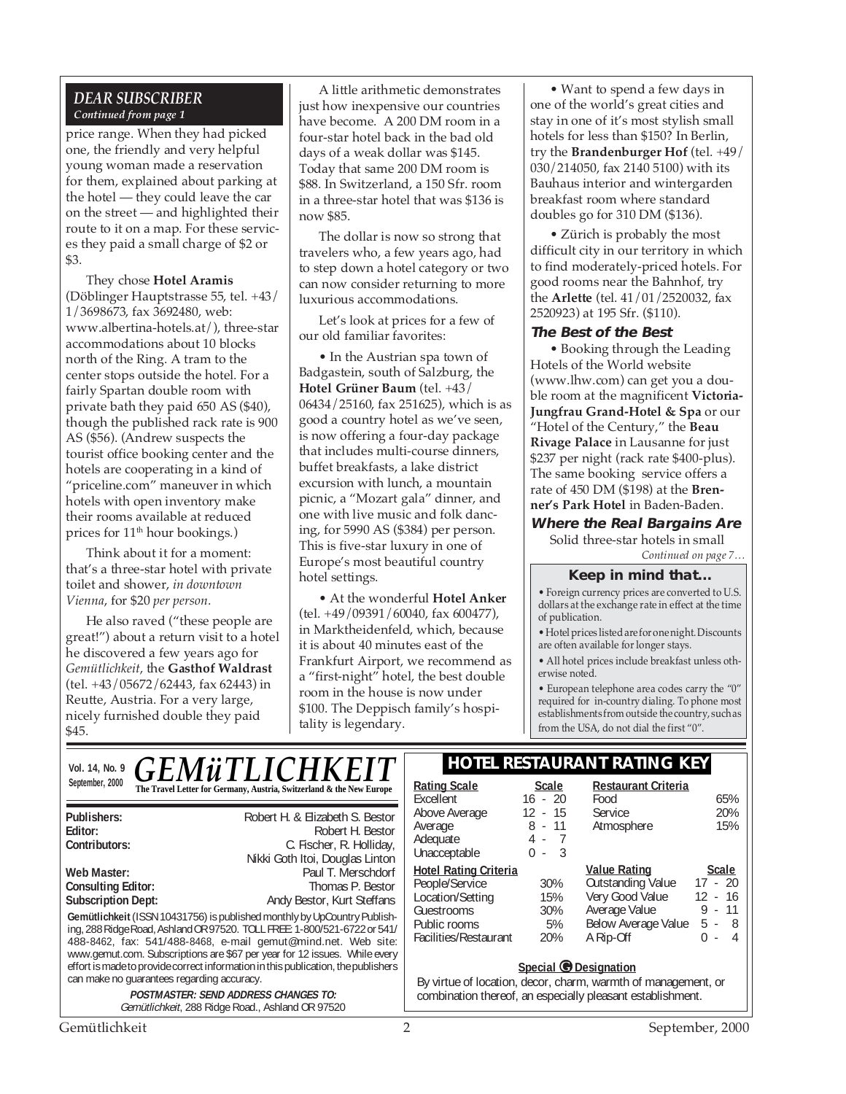#### *DEAR SUBSCRIBER Continued from page 1*

price range. When they had picked one, the friendly and very helpful young woman made a reservation for them, explained about parking at the hotel — they could leave the car on the street — and highlighted their route to it on a map. For these services they paid a small charge of \$2 or \$3.

They chose **Hotel Aramis** (Döblinger Hauptstrasse 55, tel. +43/ 1/3698673, fax 3692480, web: www.albertina-hotels.at/), three-star accommodations about 10 blocks north of the Ring. A tram to the center stops outside the hotel. For a fairly Spartan double room with private bath they paid 650 AS (\$40), though the published rack rate is 900 AS (\$56). (Andrew suspects the tourist office booking center and the hotels are cooperating in a kind of "priceline.com" maneuver in which hotels with open inventory make their rooms available at reduced prices for 11<sup>th</sup> hour bookings.)

Think about it for a moment: that's a three-star hotel with private toilet and shower, *in downtown Vienna*, for \$20 *per person*.

He also raved ("these people are great!") about a return visit to a hotel he discovered a few years ago for *Gemütlichkeit*, the **Gasthof Waldrast** (tel. +43/05672/62443, fax 62443) in Reutte, Austria. For a very large, nicely furnished double they paid \$45.

A little arithmetic demonstrates just how inexpensive our countries have become. A 200 DM room in a four-star hotel back in the bad old days of a weak dollar was \$145. Today that same 200 DM room is \$88. In Switzerland, a 150 Sfr. room in a three-star hotel that was \$136 is now \$85.

The dollar is now so strong that travelers who, a few years ago, had to step down a hotel category or two can now consider returning to more luxurious accommodations.

Let's look at prices for a few of our old familiar favorites:

• In the Austrian spa town of Badgastein, south of Salzburg, the **Hotel Grüner Baum** (tel. +43/ 06434/25160, fax 251625), which is as good a country hotel as we've seen, is now offering a four-day package that includes multi-course dinners, buffet breakfasts, a lake district excursion with lunch, a mountain picnic, a "Mozart gala" dinner, and one with live music and folk dancing, for 5990 AS (\$384) per person. This is five-star luxury in one of Europe's most beautiful country hotel settings.

• At the wonderful **Hotel Anker** (tel. +49/09391/60040, fax 600477), in Marktheidenfeld, which, because it is about 40 minutes east of the Frankfurt Airport, we recommend as a "first-night" hotel, the best double room in the house is now under \$100. The Deppisch family's hospitality is legendary.

• Want to spend a few days in one of the world's great cities and stay in one of it's most stylish small hotels for less than \$150? In Berlin, try the **Brandenburger Hof** (tel. +49/ 030/214050, fax 2140 5100) with its Bauhaus interior and wintergarden breakfast room where standard doubles go for 310 DM (\$136).

• Zürich is probably the most difficult city in our territory in which to find moderately-priced hotels. For good rooms near the Bahnhof, try the **Arlette** (tel. 41/01/2520032, fax 2520923) at 195 Sfr. (\$110).

#### **The Best of the Best**

• Booking through the Leading Hotels of the World website (www.lhw.com) can get you a double room at the magnificent **Victoria-Jungfrau Grand-Hotel & Spa** or our "Hotel of the Century," the **Beau Rivage Palace** in Lausanne for just \$237 per night (rack rate \$400-plus). The same booking service offers a rate of 450 DM (\$198) at the **Brenner's Park Hotel** in Baden-Baden.

**Where the Real Bargains Are** Solid three-star hotels in small

*Continued on page 7…*

#### **Keep in mind that...**

• Foreign currency prices are converted to U.S. dollars at the exchange rate in effect at the time of publication.

• Hotel prices listed are for one night. Discounts are often available for longer stays.

• All hotel prices include breakfast unless otherwise noted.

• European telephone area codes carry the "0" required for in-country dialing. To phone most establishments from outside the country, such as from the USA, do not dial the first "0".

#### Vol. 14, No. 9 **CEM** *ii* **TI ICHKEIT HOTEL RESTAURANT RATING KEY** *GEMÜTLICHKEI*

September, 2000 **Rating Scale Rating Scale Rating Scale Rating Scale Rating Scale Scale** 

| Publishers:                                                                                                                                                                                                                                                                                                                                                                             | Robert H. & Elizabeth S. Bestor                                                                 | Abo        |  |
|-----------------------------------------------------------------------------------------------------------------------------------------------------------------------------------------------------------------------------------------------------------------------------------------------------------------------------------------------------------------------------------------|-------------------------------------------------------------------------------------------------|------------|--|
| Editor:                                                                                                                                                                                                                                                                                                                                                                                 | Robert H. Bestor                                                                                | Ave<br>Ade |  |
| Contributors:                                                                                                                                                                                                                                                                                                                                                                           | C. Fischer, R. Holliday,                                                                        | Una        |  |
|                                                                                                                                                                                                                                                                                                                                                                                         | Nikki Goth Itoi, Douglas Linton                                                                 |            |  |
| Web Master:                                                                                                                                                                                                                                                                                                                                                                             | Paul T. Merschdorf                                                                              | Hot        |  |
| <b>Consulting Editor:</b>                                                                                                                                                                                                                                                                                                                                                               | Thomas P. Bestor                                                                                | Pec        |  |
| <b>Subscription Dept:</b>                                                                                                                                                                                                                                                                                                                                                               | Andy Bestor, Kurt Steffans                                                                      | Loc<br>Gue |  |
| Gemütlichkeit (ISSN 10431756) is published monthly by UpCountry Publish-<br>ing, 288 Ridge Road, Ashland OR 97520. TOLL FREE: 1-800/521-6722 or 541/<br>488-8462, fax: 541/488-8468, e-mail gemut@mind.net. Web site:<br>www.gemut.com. Subscriptions are \$67 per year for 12 issues. While every<br>effort is made to provide correct information in this publication, the publishers |                                                                                                 |            |  |
| can make no quarantees regarding accuracy.                                                                                                                                                                                                                                                                                                                                              |                                                                                                 | By         |  |
|                                                                                                                                                                                                                                                                                                                                                                                         | <b>POSTMASTER: SEND ADDRESS CHANGES TO:</b><br>Gemütlichkeit, 288 Ridge Road., Ashland OR 97520 | CO         |  |

| <b>Scale</b> | <b>Restaurant Criteria</b> |               |
|--------------|----------------------------|---------------|
| $16 - 20$    | Food                       | 65%           |
| $12 - 15$    | Service                    | 20%           |
| $8 - 11$     | Atmosphere                 | 15%           |
| 4 - 7        |                            |               |
| - 3<br>0 -   |                            |               |
|              | <b>Value Rating</b>        | <b>Scale</b>  |
| 30%          | <b>Outstanding Value</b>   | $17 - 20$     |
| 15%          | Very Good Value            | $12 - 16$     |
| 30%          |                            | $9 - 11$      |
| 5%           | Below Average Value        | 5 -<br>- 8    |
| 20%          | A Rip-Off                  | 4             |
|              |                            | Average Value |

#### **Special © Designation**

virtue of location, decor, charm, warmth of management, or mbination thereof, an especially pleasant establishment.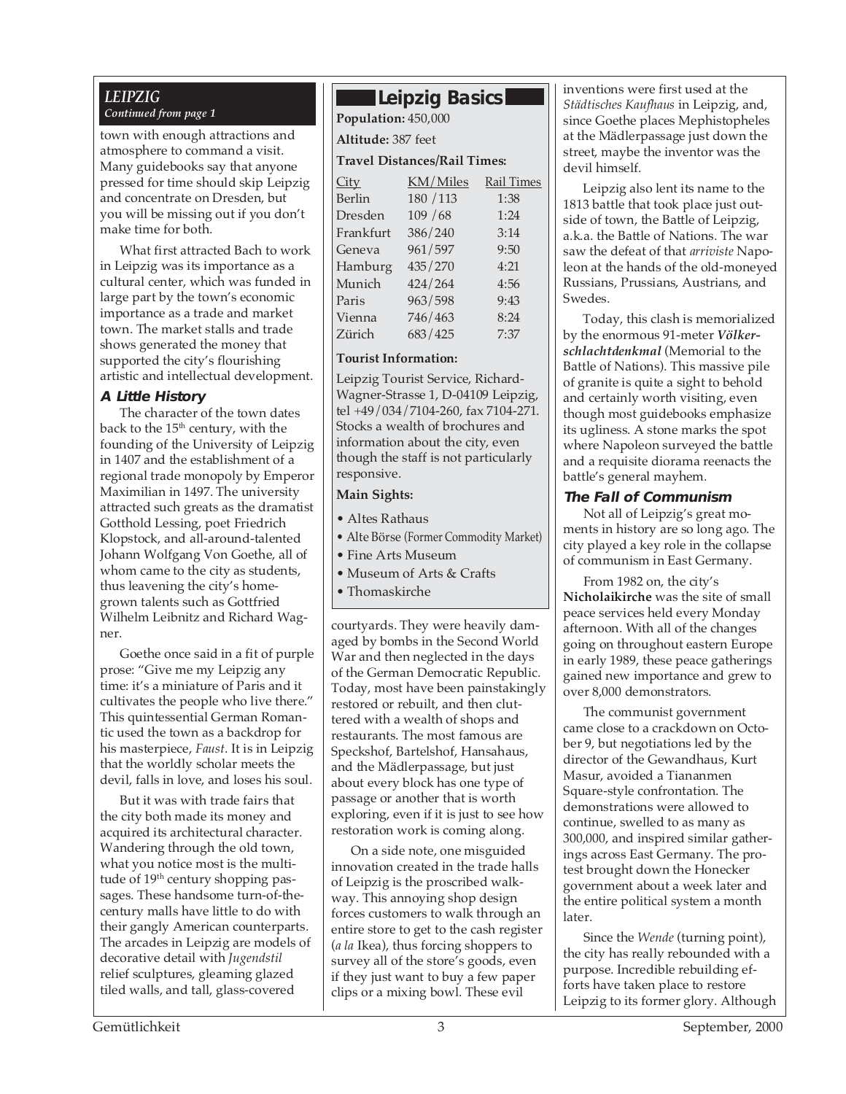### *LEIPZIG*

town with enough attractions and atmosphere to command a visit. Many guidebooks say that anyone pressed for time should skip Leipzig and concentrate on Dresden, but you will be missing out if you don't make time for both.

What first attracted Bach to work in Leipzig was its importance as a cultural center, which was funded in large part by the town's economic importance as a trade and market town. The market stalls and trade shows generated the money that supported the city's flourishing artistic and intellectual development.

#### **A Little History**

The character of the town dates back to the 15<sup>th</sup> century, with the founding of the University of Leipzig in 1407 and the establishment of a regional trade monopoly by Emperor Maximilian in 1497. The university attracted such greats as the dramatist Gotthold Lessing, poet Friedrich Klopstock, and all-around-talented Johann Wolfgang Von Goethe, all of whom came to the city as students, thus leavening the city's homegrown talents such as Gottfried Wilhelm Leibnitz and Richard Wagner.

Goethe once said in a fit of purple prose: "Give me my Leipzig any time: it's a miniature of Paris and it cultivates the people who live there." This quintessential German Romantic used the town as a backdrop for his masterpiece, *Faust*. It is in Leipzig that the worldly scholar meets the devil, falls in love, and loses his soul.

But it was with trade fairs that the city both made its money and acquired its architectural character. Wandering through the old town, what you notice most is the multitude of 19<sup>th</sup> century shopping passages. These handsome turn-of-thecentury malls have little to do with their gangly American counterparts. The arcades in Leipzig are models of decorative detail with *Jugendstil* relief sculptures, gleaming glazed tiled walls, and tall, glass-covered

### **Leipzig Basics**

*Continued from page 1* **Population:** 450,000 **Altitude:** 387 feet **Travel Distances/Rail Times:**

| <u>City</u> | KM/Miles  | <b>Rail Times</b> |
|-------------|-----------|-------------------|
| Berlin      | 180 / 113 | 1:38              |
| Dresden     | 109/68    | 1:24              |
| Frankfurt   | 386/240   | 3:14              |
| Geneva      | 961/597   | 9:50              |
| Hamburg     | 435/270   | 4:21              |
| Munich      | 424/264   | 4:56              |
| Paris       | 963/598   | 9:43              |
| Vienna      | 746/463   | 8:24              |
| Zürich      | 683/425   | 7:37              |
|             |           |                   |

#### **Tourist Information:**

Leipzig Tourist Service, Richard-Wagner-Strasse 1, D-04109 Leipzig, tel +49/034/7104-260, fax 7104-271. Stocks a wealth of brochures and information about the city, even though the staff is not particularly responsive.

#### **Main Sights:**

- Altes Rathaus
- Alte Börse (Former Commodity Market)
- Fine Arts Museum
- Museum of Arts & Crafts
- Thomaskirche

courtyards. They were heavily damaged by bombs in the Second World War and then neglected in the days of the German Democratic Republic. Today, most have been painstakingly restored or rebuilt, and then cluttered with a wealth of shops and restaurants. The most famous are Speckshof, Bartelshof, Hansahaus, and the Mädlerpassage, but just about every block has one type of passage or another that is worth exploring, even if it is just to see how restoration work is coming along.

On a side note, one misguided innovation created in the trade halls of Leipzig is the proscribed walkway. This annoying shop design forces customers to walk through an entire store to get to the cash register (*a la* Ikea), thus forcing shoppers to survey all of the store's goods, even if they just want to buy a few paper clips or a mixing bowl. These evil

inventions were first used at the *Städtisches Kaufhaus* in Leipzig, and, since Goethe places Mephistopheles at the Mädlerpassage just down the street, maybe the inventor was the devil himself.

Leipzig also lent its name to the 1813 battle that took place just outside of town, the Battle of Leipzig, a.k.a. the Battle of Nations. The war saw the defeat of that *arriviste* Napoleon at the hands of the old-moneyed Russians, Prussians, Austrians, and Swedes.

Today, this clash is memorialized by the enormous 91-meter *Völkerschlachtdenkmal* (Memorial to the Battle of Nations). This massive pile of granite is quite a sight to behold and certainly worth visiting, even though most guidebooks emphasize its ugliness. A stone marks the spot where Napoleon surveyed the battle and a requisite diorama reenacts the battle's general mayhem.

#### **The Fall of Communism**

Not all of Leipzig's great moments in history are so long ago. The city played a key role in the collapse of communism in East Germany.

From 1982 on, the city's **Nicholaikirche** was the site of small peace services held every Monday afternoon. With all of the changes going on throughout eastern Europe in early 1989, these peace gatherings gained new importance and grew to over 8,000 demonstrators.

The communist government came close to a crackdown on October 9, but negotiations led by the director of the Gewandhaus, Kurt Masur, avoided a Tiananmen Square-style confrontation. The demonstrations were allowed to continue, swelled to as many as 300,000, and inspired similar gatherings across East Germany. The protest brought down the Honecker government about a week later and the entire political system a month later.

Since the *Wende* (turning point), the city has really rebounded with a purpose. Incredible rebuilding efforts have taken place to restore Leipzig to its former glory. Although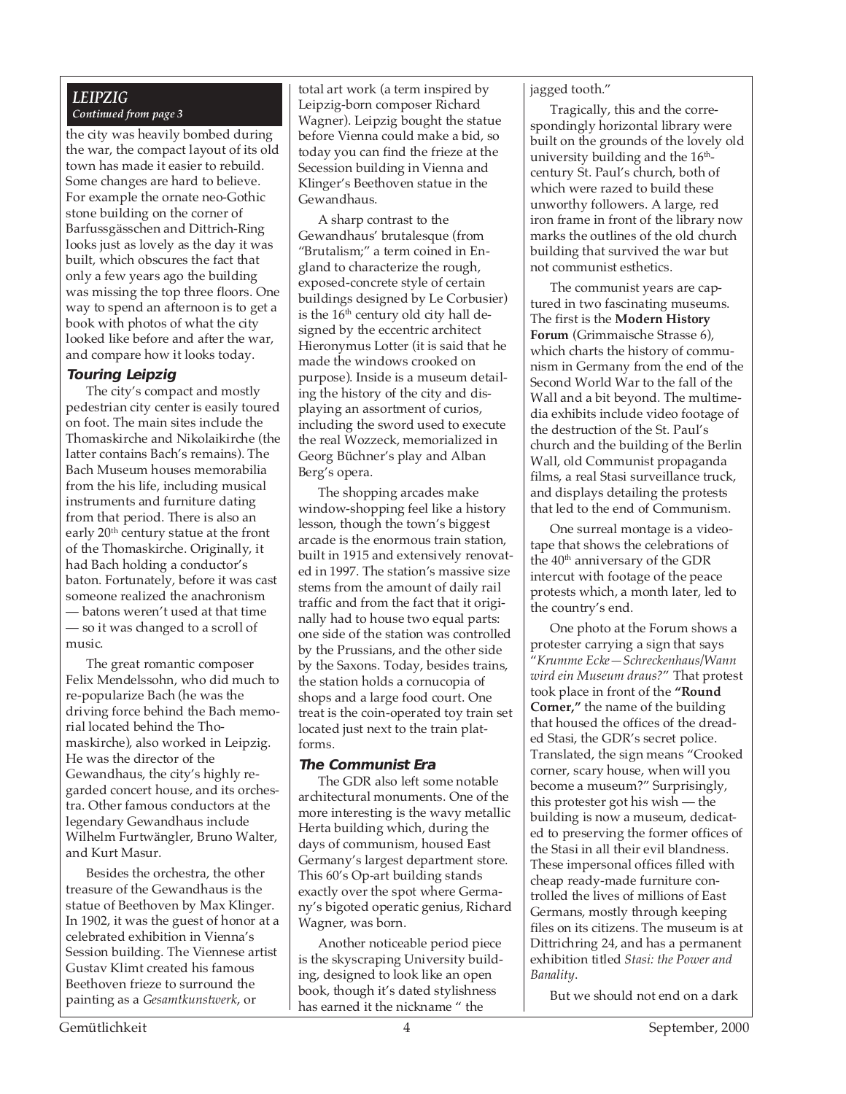#### *LEIPZIG Continued from page 3*

the city was heavily bombed during the war, the compact layout of its old town has made it easier to rebuild. Some changes are hard to believe. For example the ornate neo-Gothic stone building on the corner of Barfussgässchen and Dittrich-Ring looks just as lovely as the day it was built, which obscures the fact that only a few years ago the building was missing the top three floors. One way to spend an afternoon is to get a book with photos of what the city looked like before and after the war, and compare how it looks today.

#### **Touring Leipzig**

The city's compact and mostly pedestrian city center is easily toured on foot. The main sites include the Thomaskirche and Nikolaikirche (the latter contains Bach's remains). The Bach Museum houses memorabilia from the his life, including musical instruments and furniture dating from that period. There is also an early 20<sup>th</sup> century statue at the front of the Thomaskirche. Originally, it had Bach holding a conductor's baton. Fortunately, before it was cast someone realized the anachronism — batons weren't used at that time — so it was changed to a scroll of music.

The great romantic composer Felix Mendelssohn, who did much to re-popularize Bach (he was the driving force behind the Bach memorial located behind the Thomaskirche), also worked in Leipzig. He was the director of the Gewandhaus, the city's highly regarded concert house, and its orchestra. Other famous conductors at the legendary Gewandhaus include Wilhelm Furtwängler, Bruno Walter, and Kurt Masur.

Besides the orchestra, the other treasure of the Gewandhaus is the statue of Beethoven by Max Klinger. In 1902, it was the guest of honor at a celebrated exhibition in Vienna's Session building. The Viennese artist Gustav Klimt created his famous Beethoven frieze to surround the painting as a *Gesamtkunstwerk*, or

total art work (a term inspired by Leipzig-born composer Richard Wagner). Leipzig bought the statue before Vienna could make a bid, so today you can find the frieze at the Secession building in Vienna and Klinger's Beethoven statue in the Gewandhaus.

A sharp contrast to the Gewandhaus' brutalesque (from "Brutalism;" a term coined in England to characterize the rough, exposed-concrete style of certain buildings designed by Le Corbusier) is the  $16<sup>th</sup>$  century old city hall designed by the eccentric architect Hieronymus Lotter (it is said that he made the windows crooked on purpose). Inside is a museum detailing the history of the city and displaying an assortment of curios, including the sword used to execute the real Wozzeck, memorialized in Georg Büchner's play and Alban Berg's opera.

The shopping arcades make window-shopping feel like a history lesson, though the town's biggest arcade is the enormous train station, built in 1915 and extensively renovated in 1997. The station's massive size stems from the amount of daily rail traffic and from the fact that it originally had to house two equal parts: one side of the station was controlled by the Prussians, and the other side by the Saxons. Today, besides trains, the station holds a cornucopia of shops and a large food court. One treat is the coin-operated toy train set located just next to the train platforms.

#### **The Communist Era**

The GDR also left some notable architectural monuments. One of the more interesting is the wavy metallic Herta building which, during the days of communism, housed East Germany's largest department store. This 60's Op-art building stands exactly over the spot where Germany's bigoted operatic genius, Richard Wagner, was born.

Another noticeable period piece is the skyscraping University building, designed to look like an open book, though it's dated stylishness has earned it the nickname " the

jagged tooth."

Tragically, this and the correspondingly horizontal library were built on the grounds of the lovely old university building and the  $16<sup>th</sup>$ century St. Paul's church, both of which were razed to build these unworthy followers. A large, red iron frame in front of the library now marks the outlines of the old church building that survived the war but not communist esthetics.

The communist years are captured in two fascinating museums. The first is the **Modern History Forum** (Grimmaische Strasse 6), which charts the history of communism in Germany from the end of the Second World War to the fall of the Wall and a bit beyond. The multimedia exhibits include video footage of the destruction of the St. Paul's church and the building of the Berlin Wall, old Communist propaganda films, a real Stasi surveillance truck, and displays detailing the protests that led to the end of Communism.

One surreal montage is a videotape that shows the celebrations of the 40<sup>th</sup> anniversary of the GDR intercut with footage of the peace protests which, a month later, led to the country's end.

One photo at the Forum shows a protester carrying a sign that says "*Krumme Ecke—Schreckenhaus/Wann wird ein Museum draus?*" That protest took place in front of the **"Round Corner,"** the name of the building that housed the offices of the dreaded Stasi, the GDR's secret police. Translated, the sign means "Crooked corner, scary house, when will you become a museum?" Surprisingly, this protester got his wish — the building is now a museum, dedicated to preserving the former offices of the Stasi in all their evil blandness. These impersonal offices filled with cheap ready-made furniture controlled the lives of millions of East Germans, mostly through keeping files on its citizens. The museum is at Dittrichring 24, and has a permanent exhibition titled *Stasi: the Power and Banality*.

But we should not end on a dark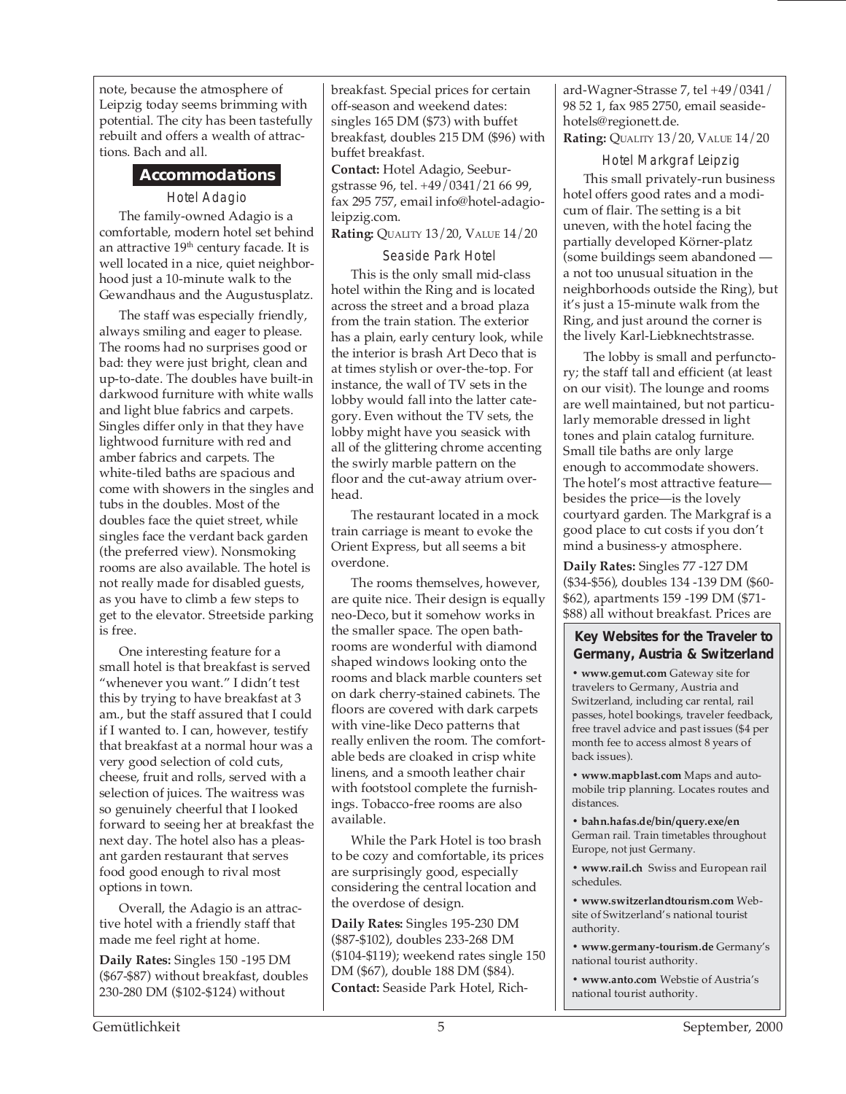note, because the atmosphere of Leipzig today seems brimming with potential. The city has been tastefully rebuilt and offers a wealth of attractions. Bach and all.

#### **Accommodations**

#### Hotel Adagio

The family-owned Adagio is a comfortable, modern hotel set behind an attractive  $19<sup>th</sup>$  century facade. It is well located in a nice, quiet neighborhood just a 10-minute walk to the Gewandhaus and the Augustusplatz.

The staff was especially friendly, always smiling and eager to please. The rooms had no surprises good or bad: they were just bright, clean and up-to-date. The doubles have built-in darkwood furniture with white walls and light blue fabrics and carpets. Singles differ only in that they have lightwood furniture with red and amber fabrics and carpets. The white-tiled baths are spacious and come with showers in the singles and tubs in the doubles. Most of the doubles face the quiet street, while singles face the verdant back garden (the preferred view). Nonsmoking rooms are also available. The hotel is not really made for disabled guests, as you have to climb a few steps to get to the elevator. Streetside parking is free.

One interesting feature for a small hotel is that breakfast is served "whenever you want." I didn't test this by trying to have breakfast at 3 am., but the staff assured that I could if I wanted to. I can, however, testify that breakfast at a normal hour was a very good selection of cold cuts, cheese, fruit and rolls, served with a selection of juices. The waitress was so genuinely cheerful that I looked forward to seeing her at breakfast the next day. The hotel also has a pleasant garden restaurant that serves food good enough to rival most options in town.

Overall, the Adagio is an attractive hotel with a friendly staff that made me feel right at home.

**Daily Rates:** Singles 150 -195 DM (\$67-\$87) without breakfast, doubles 230-280 DM (\$102-\$124) without

breakfast. Special prices for certain off-season and weekend dates: singles 165 DM (\$73) with buffet breakfast, doubles 215 DM (\$96) with buffet breakfast.

**Contact:** Hotel Adagio, Seeburgstrasse 96, tel. +49/0341/21 66 99, fax 295 757, email info@hotel-adagioleipzig.com.

**Rating:** QUALITY 13/20, VALUE 14/20

#### Seaside Park Hotel

This is the only small mid-class hotel within the Ring and is located across the street and a broad plaza from the train station. The exterior has a plain, early century look, while the interior is brash Art Deco that is at times stylish or over-the-top. For instance, the wall of TV sets in the lobby would fall into the latter category. Even without the TV sets, the lobby might have you seasick with all of the glittering chrome accenting the swirly marble pattern on the floor and the cut-away atrium overhead.

The restaurant located in a mock train carriage is meant to evoke the Orient Express, but all seems a bit overdone.

The rooms themselves, however, are quite nice. Their design is equally neo-Deco, but it somehow works in the smaller space. The open bathrooms are wonderful with diamond shaped windows looking onto the rooms and black marble counters set on dark cherry-stained cabinets. The floors are covered with dark carpets with vine-like Deco patterns that really enliven the room. The comfortable beds are cloaked in crisp white linens, and a smooth leather chair with footstool complete the furnishings. Tobacco-free rooms are also available.

While the Park Hotel is too brash to be cozy and comfortable, its prices are surprisingly good, especially considering the central location and the overdose of design.

**Daily Rates:** Singles 195-230 DM (\$87-\$102), doubles 233-268 DM (\$104-\$119); weekend rates single 150 DM (\$67), double 188 DM (\$84). **Contact:** Seaside Park Hotel, Rich-

ard-Wagner-Strasse 7, tel +49/0341/ 98 52 1, fax 985 2750, email seasidehotels@regionett.de.

**Rating:** QUALITY 13/20, VALUE 14/20

Hotel Markgraf Leipzig This small privately-run business hotel offers good rates and a modicum of flair. The setting is a bit uneven, with the hotel facing the partially developed Körner-platz (some buildings seem abandoned a not too unusual situation in the neighborhoods outside the Ring), but it's just a 15-minute walk from the Ring, and just around the corner is the lively Karl-Liebknechtstrasse.

The lobby is small and perfunctory; the staff tall and efficient (at least on our visit). The lounge and rooms are well maintained, but not particularly memorable dressed in light tones and plain catalog furniture. Small tile baths are only large enough to accommodate showers. The hotel's most attractive feature besides the price—is the lovely courtyard garden. The Markgraf is a good place to cut costs if you don't mind a business-y atmosphere.

**Daily Rates:** Singles 77 -127 DM (\$34-\$56), doubles 134 -139 DM (\$60- \$62), apartments 159 -199 DM (\$71- \$88) all without breakfast. Prices are

#### **Key Websites for the Traveler to Germany, Austria & Switzerland**

**• www.gemut.com** Gateway site for travelers to Germany, Austria and Switzerland, including car rental, rail passes, hotel bookings, traveler feedback, free travel advice and past issues (\$4 per month fee to access almost 8 years of back issues).

**• www.mapblast.com** Maps and automobile trip planning. Locates routes and distances.

**• bahn.hafas.de/bin/query.exe/en** German rail. Train timetables throughout Europe, not just Germany.

**• www.rail.ch** Swiss and European rail schedules.

**• www.switzerlandtourism.com** Website of Switzerland's national tourist authority.

**• www.germany-tourism.de** Germany's national tourist authority.

**• www.anto.com** Webstie of Austria's national tourist authority.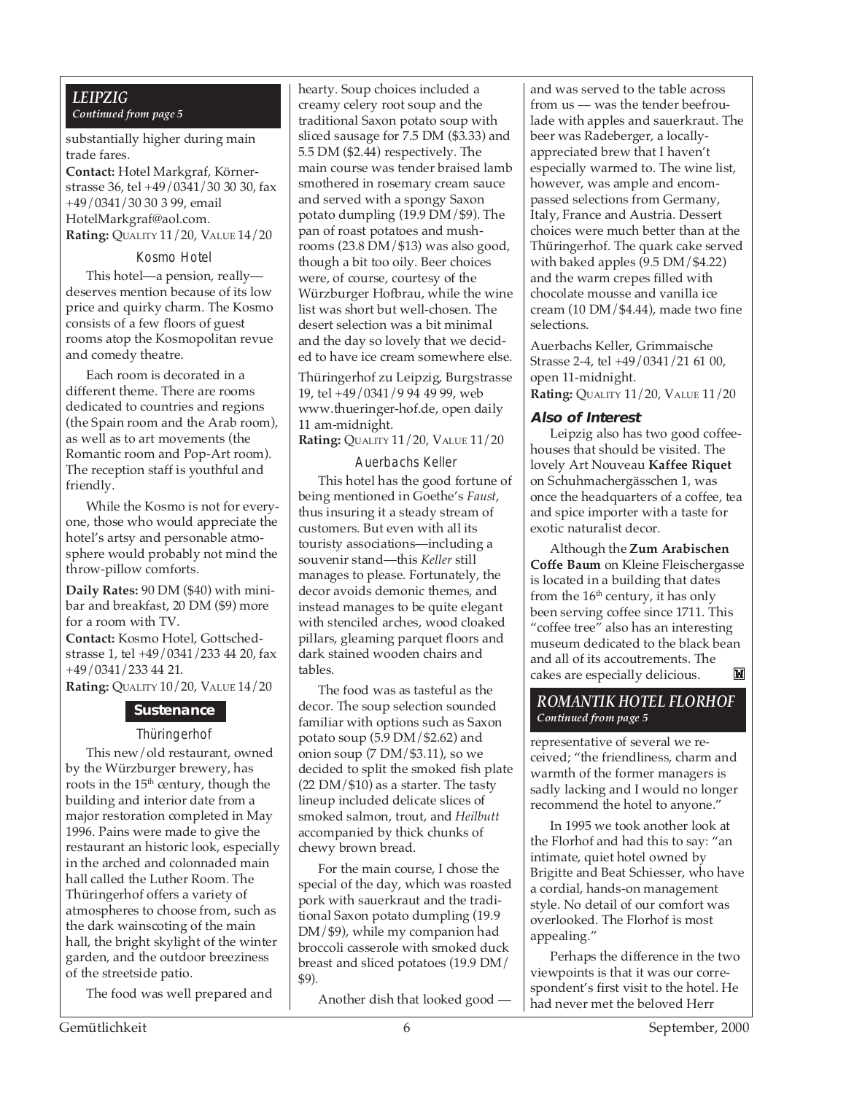#### *LEIPZIG Continued from page 5*

#### substantially higher during main trade fares.

**Contact:** Hotel Markgraf, Körnerstrasse 36, tel +49/0341/30 30 30, fax +49/0341/30 30 3 99, email HotelMarkgraf@aol.com.

**Rating:** QUALITY 11/20, VALUE 14/20

#### Kosmo Hotel

This hotel—a pension, really deserves mention because of its low price and quirky charm. The Kosmo consists of a few floors of guest rooms atop the Kosmopolitan revue and comedy theatre.

Each room is decorated in a different theme. There are rooms dedicated to countries and regions (the Spain room and the Arab room), as well as to art movements (the Romantic room and Pop-Art room). The reception staff is youthful and friendly.

While the Kosmo is not for everyone, those who would appreciate the hotel's artsy and personable atmosphere would probably not mind the throw-pillow comforts.

**Daily Rates:** 90 DM (\$40) with minibar and breakfast, 20 DM (\$9) more for a room with TV. **Contact:** Kosmo Hotel, Gottschedstrasse 1, tel +49/0341/233 44 20, fax +49/0341/233 44 21.

**Rating:** QUALITY 10/20, VALUE 14/20

#### **Sustenance**

#### Thüringerhof

This new/old restaurant, owned by the Würzburger brewery, has roots in the  $15<sup>th</sup>$  century, though the building and interior date from a major restoration completed in May 1996. Pains were made to give the restaurant an historic look, especially in the arched and colonnaded main hall called the Luther Room. The Thüringerhof offers a variety of atmospheres to choose from, such as the dark wainscoting of the main hall, the bright skylight of the winter garden, and the outdoor breeziness of the streetside patio.

The food was well prepared and

hearty. Soup choices included a creamy celery root soup and the traditional Saxon potato soup with sliced sausage for 7.5 DM (\$3.33) and 5.5 DM (\$2.44) respectively. The main course was tender braised lamb smothered in rosemary cream sauce and served with a spongy Saxon potato dumpling (19.9 DM/\$9). The pan of roast potatoes and mushrooms (23.8 DM/\$13) was also good, though a bit too oily. Beer choices were, of course, courtesy of the Würzburger Hofbrau, while the wine list was short but well-chosen. The desert selection was a bit minimal and the day so lovely that we decided to have ice cream somewhere else.

Thüringerhof zu Leipzig, Burgstrasse 19, tel +49/0341/9 94 49 99, web www.thueringer-hof.de, open daily 11 am-midnight.

**Rating:** QUALITY 11/20, VALUE 11/20

#### Auerbachs Keller

This hotel has the good fortune of being mentioned in Goethe's *Faust*, thus insuring it a steady stream of customers. But even with all its touristy associations—including a souvenir stand—this *Keller* still manages to please. Fortunately, the decor avoids demonic themes, and instead manages to be quite elegant with stenciled arches, wood cloaked pillars, gleaming parquet floors and dark stained wooden chairs and tables.

The food was as tasteful as the decor. The soup selection sounded familiar with options such as Saxon potato soup (5.9 DM/\$2.62) and onion soup  $(7 \text{ DM}/\$3.11)$ , so we decided to split the smoked fish plate  $(22 DM / 10)$  as a starter. The tasty lineup included delicate slices of smoked salmon, trout, and *Heilbutt* accompanied by thick chunks of chewy brown bread.

For the main course, I chose the special of the day, which was roasted pork with sauerkraut and the traditional Saxon potato dumpling (19.9 DM/\$9), while my companion had broccoli casserole with smoked duck breast and sliced potatoes (19.9 DM/ \$9).

Another dish that looked good —

and was served to the table across from us — was the tender beefroulade with apples and sauerkraut. The beer was Radeberger, a locallyappreciated brew that I haven't especially warmed to. The wine list, however, was ample and encompassed selections from Germany, Italy, France and Austria. Dessert choices were much better than at the Thüringerhof. The quark cake served with baked apples (9.5 DM/\$4.22) and the warm crepes filled with chocolate mousse and vanilla ice cream (10 DM/\$4.44), made two fine selections.

Auerbachs Keller, Grimmaische Strasse 2-4, tel +49/0341/21 61 00, open 11-midnight. **Rating:** QUALITY 11/20, VALUE 11/20

#### **Also of Interest**

Leipzig also has two good coffeehouses that should be visited. The lovely Art Nouveau **Kaffee Riquet** on Schuhmachergässchen 1, was once the headquarters of a coffee, tea and spice importer with a taste for exotic naturalist decor.

Although the **Zum Arabischen Coffe Baum** on Kleine Fleischergasse is located in a building that dates from the  $16<sup>th</sup>$  century, it has only been serving coffee since 1711. This "coffee tree" also has an interesting museum dedicated to the black bean and all of its accoutrements. The M cakes are especially delicious.

#### *ROMANTIK HOTEL FLORHOF Continued from page 5*

representative of several we received; "the friendliness, charm and warmth of the former managers is sadly lacking and I would no longer recommend the hotel to anyone."

In 1995 we took another look at the Florhof and had this to say: "an intimate, quiet hotel owned by Brigitte and Beat Schiesser, who have a cordial, hands-on management style. No detail of our comfort was overlooked. The Florhof is most appealing."

Perhaps the difference in the two viewpoints is that it was our correspondent's first visit to the hotel. He had never met the beloved Herr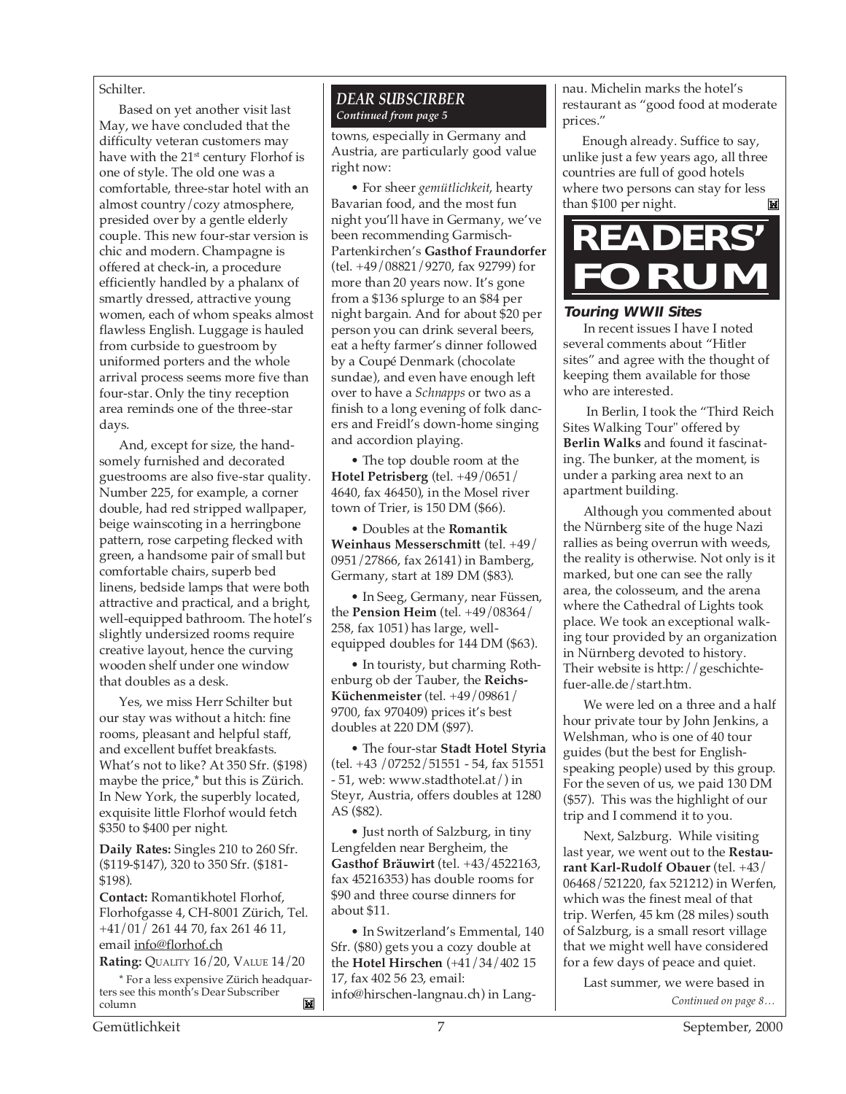#### Schilter.

Based on yet another visit last May, we have concluded that the difficulty veteran customers may have with the 21<sup>st</sup> century Florhof is one of style. The old one was a comfortable, three-star hotel with an almost country/cozy atmosphere, presided over by a gentle elderly couple. This new four-star version is chic and modern. Champagne is offered at check-in, a procedure efficiently handled by a phalanx of smartly dressed, attractive young women, each of whom speaks almost flawless English. Luggage is hauled from curbside to guestroom by uniformed porters and the whole arrival process seems more five than four-star. Only the tiny reception area reminds one of the three-star days.

And, except for size, the handsomely furnished and decorated guestrooms are also five-star quality. Number 225, for example, a corner double, had red stripped wallpaper, beige wainscoting in a herringbone pattern, rose carpeting flecked with green, a handsome pair of small but comfortable chairs, superb bed linens, bedside lamps that were both attractive and practical, and a bright, well-equipped bathroom. The hotel's slightly undersized rooms require creative layout, hence the curving wooden shelf under one window that doubles as a desk.

Yes, we miss Herr Schilter but our stay was without a hitch: fine rooms, pleasant and helpful staff, and excellent buffet breakfasts. What's not to like? At 350 Sfr. (\$198) maybe the price,\* but this is Zürich. In New York, the superbly located, exquisite little Florhof would fetch \$350 to \$400 per night.

**Daily Rates:** Singles 210 to 260 Sfr. (\$119-\$147), 320 to 350 Sfr. (\$181- \$198).

**Contact:** Romantikhotel Florhof, Florhofgasse 4, CH-8001 Zürich, Tel. +41/01/ 261 44 70, fax 261 46 11, email info@florhof.ch

**Rating:** QUALITY 16/20, VALUE 14/20

\* For a less expensive Zürich headquarters see this month's Dear Subscriber M column

#### *DEAR SUBSCIRBER Continued from page 5*

towns, especially in Germany and Austria, are particularly good value right now:

• For sheer *gemütlichkeit*, hearty Bavarian food, and the most fun night you'll have in Germany, we've been recommending Garmisch-Partenkirchen's **Gasthof Fraundorfer** (tel. +49/08821/9270, fax 92799) for more than 20 years now. It's gone from a \$136 splurge to an \$84 per night bargain. And for about \$20 per person you can drink several beers, eat a hefty farmer's dinner followed by a Coupé Denmark (chocolate sundae), and even have enough left over to have a *Schnapps* or two as a finish to a long evening of folk dancers and Freidl's down-home singing and accordion playing.

• The top double room at the **Hotel Petrisberg** (tel. +49/0651/ 4640, fax 46450), in the Mosel river town of Trier, is 150 DM (\$66).

• Doubles at the **Romantik Weinhaus Messerschmitt** (tel. +49/ 0951/27866, fax 26141) in Bamberg, Germany, start at 189 DM (\$83).

• In Seeg, Germany, near Füssen, the **Pension Heim** (tel. +49/08364/ 258, fax 1051) has large, wellequipped doubles for 144 DM (\$63).

• In touristy, but charming Rothenburg ob der Tauber, the **Reichs-Küchenmeister** (tel. +49/09861/ 9700, fax 970409) prices it's best doubles at 220 DM (\$97).

• The four-star **Stadt Hotel Styria** (tel. +43 /07252/51551 - 54, fax 51551 - 51, web: www.stadthotel.at/) in Steyr, Austria, offers doubles at 1280 AS (\$82).

• Just north of Salzburg, in tiny Lengfelden near Bergheim, the **Gasthof Bräuwirt** (tel. +43/4522163, fax 45216353) has double rooms for \$90 and three course dinners for about \$11.

• In Switzerland's Emmental, 140 Sfr. (\$80) gets you a cozy double at the **Hotel Hirschen** (+41/34/402 15 17, fax 402 56 23, email: info@hirschen-langnau.ch) in Langnau. Michelin marks the hotel's restaurant as "good food at moderate prices."

Enough already. Suffice to say, unlike just a few years ago, all three countries are full of good hotels where two persons can stay for less than \$100 per night.M



#### **Touring WWII Sites**

In recent issues I have I noted several comments about "Hitler sites" and agree with the thought of keeping them available for those who are interested.

 In Berlin, I took the "Third Reich Sites Walking Tour" offered by **Berlin Walks** and found it fascinating. The bunker, at the moment, is under a parking area next to an apartment building.

Although you commented about the Nürnberg site of the huge Nazi rallies as being overrun with weeds, the reality is otherwise. Not only is it marked, but one can see the rally area, the colosseum, and the arena where the Cathedral of Lights took place. We took an exceptional walking tour provided by an organization in Nürnberg devoted to history. Their website is http://geschichtefuer-alle.de/start.htm.

We were led on a three and a half hour private tour by John Jenkins, a Welshman, who is one of 40 tour guides (but the best for Englishspeaking people) used by this group. For the seven of us, we paid 130 DM (\$57). This was the highlight of our trip and I commend it to you.

Next, Salzburg. While visiting last year, we went out to the **Restaurant Karl-Rudolf Obauer** (tel. +43/ 06468/521220, fax 521212) in Werfen, which was the finest meal of that trip. Werfen, 45 km (28 miles) south of Salzburg, is a small resort village that we might well have considered for a few days of peace and quiet.

*Continued on page 8…* Last summer, we were based in